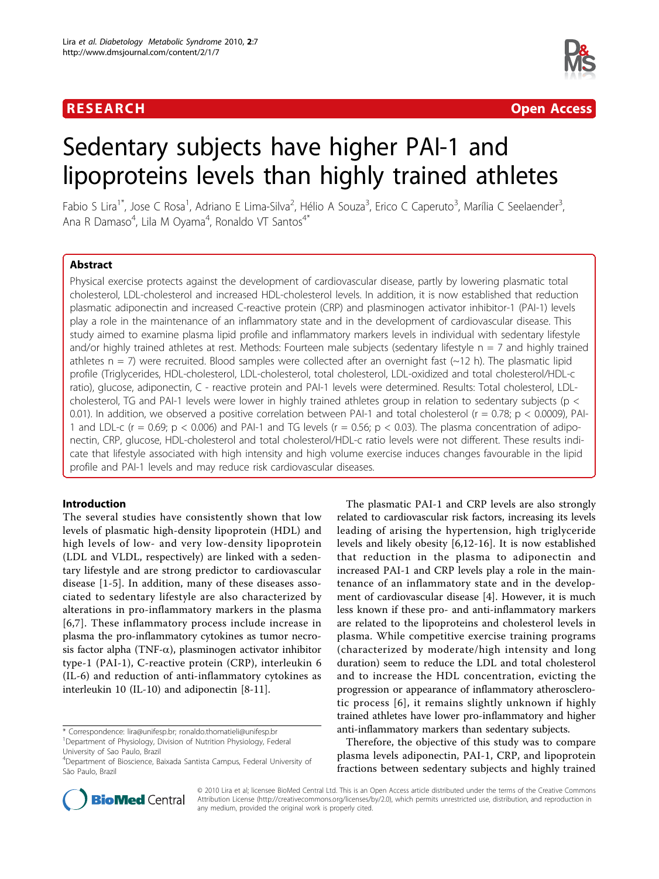## R E S EARCH Open Access



# Sedentary subjects have higher PAI-1 and lipoproteins levels than highly trained athletes

Fabio S Lira<sup>1\*</sup>, Jose C Rosa<sup>1</sup>, Adriano E Lima-Silva<sup>2</sup>, Hélio A Souza<sup>3</sup>, Erico C Caperuto<sup>3</sup>, Marília C Seelaender<sup>3</sup> , Ana R Damaso<sup>4</sup>, Lila M Oyama<sup>4</sup>, Ronaldo VT Santos<sup>4\*</sup>

## Abstract

Physical exercise protects against the development of cardiovascular disease, partly by lowering plasmatic total cholesterol, LDL-cholesterol and increased HDL-cholesterol levels. In addition, it is now established that reduction plasmatic adiponectin and increased C-reactive protein (CRP) and plasminogen activator inhibitor-1 (PAI-1) levels play a role in the maintenance of an inflammatory state and in the development of cardiovascular disease. This study aimed to examine plasma lipid profile and inflammatory markers levels in individual with sedentary lifestyle and/or highly trained athletes at rest. Methods: Fourteen male subjects (sedentary lifestyle  $n = 7$  and highly trained athletes  $n = 7$ ) were recruited. Blood samples were collected after an overnight fast ( $\sim$ 12 h). The plasmatic lipid profile (Triglycerides, HDL-cholesterol, LDL-cholesterol, total cholesterol, LDL-oxidized and total cholesterol/HDL-c ratio), glucose, adiponectin, C - reactive protein and PAI-1 levels were determined. Results: Total cholesterol, LDLcholesterol, TG and PAI-1 levels were lower in highly trained athletes group in relation to sedentary subjects (p  $\lt$ 0.01). In addition, we observed a positive correlation between PAI-1 and total cholesterol ( $r = 0.78$ ;  $p < 0.0009$ ), PAI-1 and LDL-c (r = 0.69;  $p < 0.006$ ) and PAI-1 and TG levels (r = 0.56;  $p < 0.03$ ). The plasma concentration of adiponectin, CRP, glucose, HDL-cholesterol and total cholesterol/HDL-c ratio levels were not different. These results indicate that lifestyle associated with high intensity and high volume exercise induces changes favourable in the lipid profile and PAI-1 levels and may reduce risk cardiovascular diseases.

## Introduction

The several studies have consistently shown that low levels of plasmatic high-density lipoprotein (HDL) and high levels of low- and very low-density lipoprotein (LDL and VLDL, respectively) are linked with a sedentary lifestyle and are strong predictor to cardiovascular disease [[1](#page-3-0)-[5\]](#page-3-0). In addition, many of these diseases associated to sedentary lifestyle are also characterized by alterations in pro-inflammatory markers in the plasma [[6](#page-3-0),[7\]](#page-3-0). These inflammatory process include increase in plasma the pro-inflammatory cytokines as tumor necrosis factor alpha (TNF- $\alpha$ ), plasminogen activator inhibitor type-1 (PAI-1), C-reactive protein (CRP), interleukin 6 (IL-6) and reduction of anti-inflammatory cytokines as interleukin 10 (IL-10) and adiponectin [[8](#page-3-0)[-11](#page-4-0)].

\* Correspondence: [lira@unifesp.br](mailto:lira@unifesp.br); [ronaldo.thomatieli@unifesp.br](mailto:ronaldo.thomatieli@unifesp.br) <sup>1</sup>Department of Physiology, Division of Nutrition Physiology, Federal University of Sao Paulo, Brazil

related to cardiovascular risk factors, increasing its levels leading of arising the hypertension, high triglyceride levels and likely obesity [\[6](#page-3-0),[12-16](#page-4-0)]. It is now established that reduction in the plasma to adiponectin and increased PAI-1 and CRP levels play a role in the maintenance of an inflammatory state and in the development of cardiovascular disease [[4\]](#page-3-0). However, it is much less known if these pro- and anti-inflammatory markers are related to the lipoproteins and cholesterol levels in plasma. While competitive exercise training programs (characterized by moderate/high intensity and long duration) seem to reduce the LDL and total cholesterol and to increase the HDL concentration, evicting the progression or appearance of inflammatory atherosclerotic process [[6\]](#page-3-0), it remains slightly unknown if highly trained athletes have lower pro-inflammatory and higher anti-inflammatory markers than sedentary subjects.

The plasmatic PAI-1 and CRP levels are also strongly

Therefore, the objective of this study was to compare plasma levels adiponectin, PAI-1, CRP, and lipoprotein fractions between sedentary subjects and highly trained



© 2010 Lira et al; licensee BioMed Central Ltd. This is an Open Access article distributed under the terms of the Creative Commons Attribution License [\(http://creativecommons.org/licenses/by/2.0](http://creativecommons.org/licenses/by/2.0)), which permits unrestricted use, distribution, and reproduction in any medium, provided the original work is properly cited.

<sup>4</sup> Department of Bioscience, Baixada Santista Campus, Federal University of São Paulo, Brazil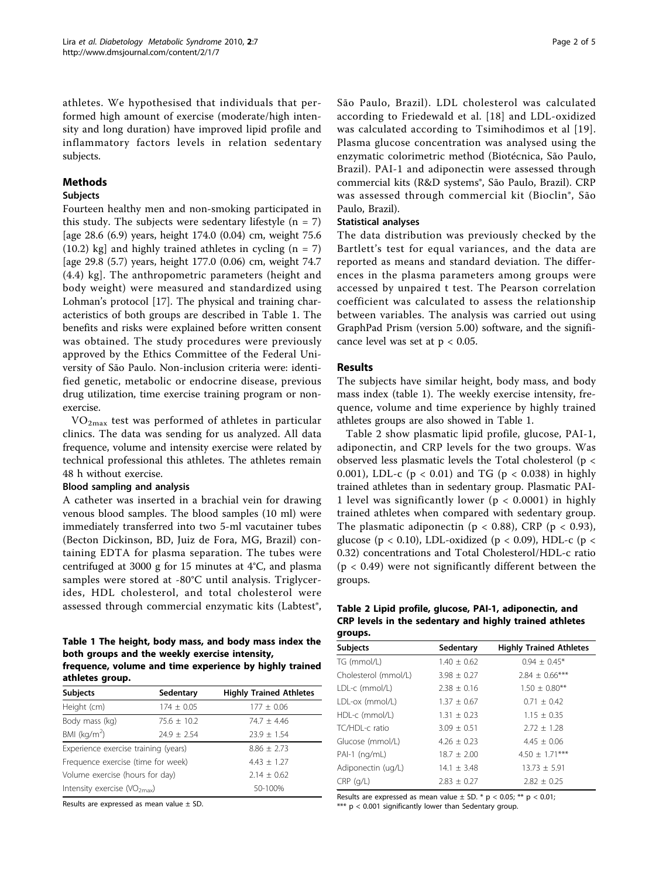<span id="page-1-0"></span>athletes. We hypothesised that individuals that performed high amount of exercise (moderate/high intensity and long duration) have improved lipid profile and inflammatory factors levels in relation sedentary subjects.

## Methods

## Subjects

Fourteen healthy men and non-smoking participated in this study. The subjects were sedentary lifestyle  $(n = 7)$ [age 28.6 (6.9) years, height 174.0 (0.04) cm, weight 75.6  $(10.2)$  kg] and highly trained athletes in cycling  $(n = 7)$ [age 29.8 (5.7) years, height 177.0 (0.06) cm, weight 74.7 (4.4) kg]. The anthropometric parameters (height and body weight) were measured and standardized using Lohman's protocol [[17\]](#page-4-0). The physical and training characteristics of both groups are described in Table 1. The benefits and risks were explained before written consent was obtained. The study procedures were previously approved by the Ethics Committee of the Federal University of São Paulo. Non-inclusion criteria were: identified genetic, metabolic or endocrine disease, previous drug utilization, time exercise training program or nonexercise.

 $VO<sub>2max</sub>$  test was performed of athletes in particular clinics. The data was sending for us analyzed. All data frequence, volume and intensity exercise were related by technical professional this athletes. The athletes remain 48 h without exercise.

## Blood sampling and analysis

A catheter was inserted in a brachial vein for drawing venous blood samples. The blood samples (10 ml) were immediately transferred into two 5-ml vacutainer tubes (Becton Dickinson, BD, Juiz de Fora, MG, Brazil) containing EDTA for plasma separation. The tubes were centrifuged at 3000 g for 15 minutes at 4°C, and plasma samples were stored at -80°C until analysis. Triglycerides, HDL cholesterol, and total cholesterol were assessed through commercial enzymatic kits (Labtest®,

#### Table 1 The height, body mass, and body mass index the both groups and the weekly exercise intensity, frequence, volume and time experience by highly trained athletes group

| <b>Subjects</b>                        | Sedentary       | <b>Highly Trained Athletes</b> |  |
|----------------------------------------|-----------------|--------------------------------|--|
| Height (cm)                            | $174 \pm 0.05$  | $177 \pm 0.06$                 |  |
| Body mass (kg)                         | $75.6 \pm 10.2$ | $74.7 + 4.46$                  |  |
| BMI $(kq/m2)$                          | $24.9 \pm 2.54$ | $23.9 \pm 1.54$                |  |
| Experience exercise training (years)   |                 | $8.86 \pm 2.73$                |  |
| Frequence exercise (time for week)     |                 | $4.43 \pm 1.27$                |  |
| Volume exercise (hours for day)        |                 | $2.14 + 0.62$                  |  |
| Intensity exercise $(\sqrt{O_{2max}})$ |                 | 50-100%                        |  |

Results are expressed as mean value ± SD.

São Paulo, Brazil). LDL cholesterol was calculated according to Friedewald et al. [[18](#page-4-0)] and LDL-oxidized was calculated according to Tsimihodimos et al [[19\]](#page-4-0). Plasma glucose concentration was analysed using the enzymatic colorimetric method (Biotécnica, São Paulo, Brazil). PAI-1 and adiponectin were assessed through commercial kits (R&D systems®, São Paulo, Brazil). CRP was assessed through commercial kit (Bioclin®, São Paulo, Brazil).

## Statistical analyses

The data distribution was previously checked by the Bartlett's test for equal variances, and the data are reported as means and standard deviation. The differences in the plasma parameters among groups were accessed by unpaired t test. The Pearson correlation coefficient was calculated to assess the relationship between variables. The analysis was carried out using GraphPad Prism (version 5.00) software, and the significance level was set at  $p < 0.05$ .

## Results

The subjects have similar height, body mass, and body mass index (table 1). The weekly exercise intensity, frequence, volume and time experience by highly trained athletes groups are also showed in Table 1.

Table 2 show plasmatic lipid profile, glucose, PAI-1, adiponectin, and CRP levels for the two groups. Was observed less plasmatic levels the Total cholesterol (p < 0.001), LDL-c ( $p < 0.01$ ) and TG ( $p < 0.038$ ) in highly trained athletes than in sedentary group. Plasmatic PAI-1 level was significantly lower ( $p < 0.0001$ ) in highly trained athletes when compared with sedentary group. The plasmatic adiponectin ( $p < 0.88$ ), CRP ( $p < 0.93$ ), glucose (p < 0.10), LDL-oxidized (p < 0.09), HDL-c (p < 0.32) concentrations and Total Cholesterol/HDL-c ratio  $(p < 0.49)$  were not significantly different between the groups.

#### Table 2 Lipid profile, glucose, PAI-1, adiponectin, and CRP levels in the sedentary and highly trained athletes groups.

| <b>Subjects</b>      | Sedentary       | <b>Highly Trained Athletes</b> |  |
|----------------------|-----------------|--------------------------------|--|
| TG (mmol/L)          | $1.40 \pm 0.62$ | $0.94 \pm 0.45*$               |  |
| Cholesterol (mmol/L) | $3.98 \pm 0.27$ | $2.84 \pm 0.66$ ***            |  |
| LDL-c (mmol/L)       | $2.38 \pm 0.16$ | $1.50 \pm 0.80$ **             |  |
| LDL-ox (mmol/L)      | $1.37 \pm 0.67$ | $0.71 \pm 0.42$                |  |
| HDL-c (mmol/L)       | $1.31 \pm 0.23$ | $1.15 \pm 0.35$                |  |
| TC/HDL-c ratio       | $3.09 \pm 0.51$ | $2.72 \pm 1.28$                |  |
| Glucose (mmol/L)     | $4.26 \pm 0.23$ | $4.45 \pm 0.06$                |  |
| $PAI-1$ (ng/mL)      | $18.7 \pm 2.00$ | $4.50 \pm 1.71***$             |  |
| Adiponectin (ug/L)   | $14.1 \pm 3.48$ | $13.73 \pm 5.91$               |  |
| $CRP$ ( $q/L$ )      | $2.83 + 0.27$   | $2.82 + 0.25$                  |  |

Results are expressed as mean value  $\pm$  SD. \* p < 0.05; \*\* p < 0.01; \*\*\*  $p < 0.001$  significantly lower than Sedentary group.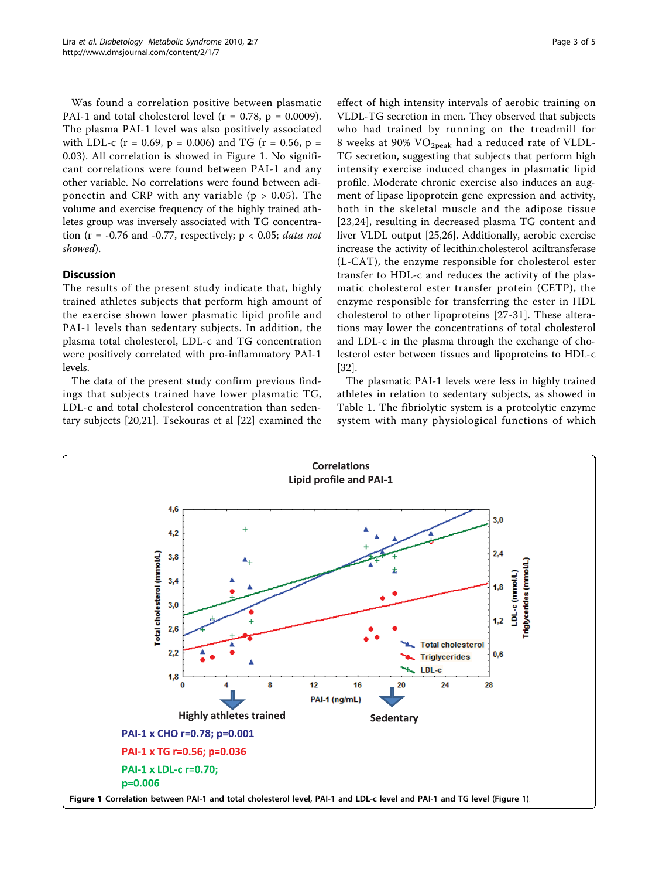Was found a correlation positive between plasmatic PAI-1 and total cholesterol level ( $r = 0.78$ ,  $p = 0.0009$ ). The plasma PAI-1 level was also positively associated with LDL-c (r = 0.69, p = 0.006) and TG (r = 0.56, p = 0.03). All correlation is showed in Figure 1. No significant correlations were found between PAI-1 and any other variable. No correlations were found between adiponectin and CRP with any variable ( $p > 0.05$ ). The volume and exercise frequency of the highly trained athletes group was inversely associated with TG concentration ( $r = -0.76$  and  $-0.77$ , respectively;  $p < 0.05$ ; *data not* showed).

## Discussion

The results of the present study indicate that, highly trained athletes subjects that perform high amount of the exercise shown lower plasmatic lipid profile and PAI-1 levels than sedentary subjects. In addition, the plasma total cholesterol, LDL-c and TG concentration were positively correlated with pro-inflammatory PAI-1 levels.

The data of the present study confirm previous findings that subjects trained have lower plasmatic TG, LDL-c and total cholesterol concentration than sedentary subjects [[20,21\]](#page-4-0). Tsekouras et al [[22\]](#page-4-0) examined the

effect of high intensity intervals of aerobic training on VLDL-TG secretion in men. They observed that subjects who had trained by running on the treadmill for 8 weeks at 90% VO<sub>2peak</sub> had a reduced rate of VLDL-TG secretion, suggesting that subjects that perform high intensity exercise induced changes in plasmatic lipid profile. Moderate chronic exercise also induces an augment of lipase lipoprotein gene expression and activity, both in the skeletal muscle and the adipose tissue [[23](#page-4-0),[24\]](#page-4-0), resulting in decreased plasma TG content and liver VLDL output [[25](#page-4-0),[26](#page-4-0)]. Additionally, aerobic exercise increase the activity of lecithin:cholesterol aciltransferase (L-CAT), the enzyme responsible for cholesterol ester transfer to HDL-c and reduces the activity of the plasmatic cholesterol ester transfer protein (CETP), the enzyme responsible for transferring the ester in HDL cholesterol to other lipoproteins [[27-31\]](#page-4-0). These alterations may lower the concentrations of total cholesterol and LDL-c in the plasma through the exchange of cholesterol ester between tissues and lipoproteins to HDL-c [[32\]](#page-4-0).

The plasmatic PAI-1 levels were less in highly trained athletes in relation to sedentary subjects, as showed in Table [1](#page-1-0). The fibriolytic system is a proteolytic enzyme system with many physiological functions of which

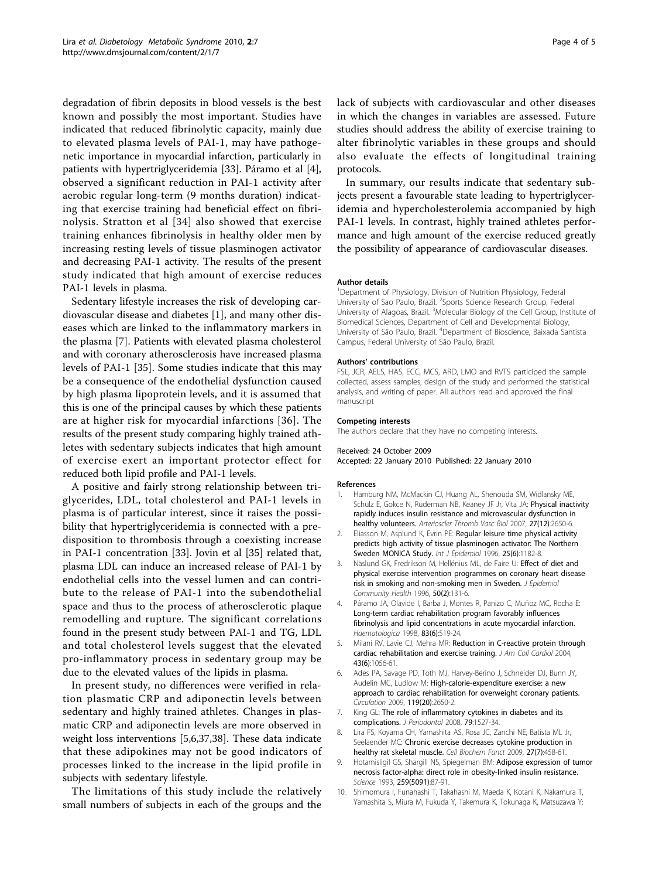<span id="page-3-0"></span>degradation of fibrin deposits in blood vessels is the best known and possibly the most important. Studies have indicated that reduced fibrinolytic capacity, mainly due to elevated plasma levels of PAI-1, may have pathogenetic importance in myocardial infarction, particularly in patients with hypertriglyceridemia [\[33](#page-4-0)]. Páramo et al [4], observed a significant reduction in PAI-1 activity after aerobic regular long-term (9 months duration) indicating that exercise training had beneficial effect on fibrinolysis. Stratton et al [\[34\]](#page-4-0) also showed that exercise training enhances fibrinolysis in healthy older men by increasing resting levels of tissue plasminogen activator and decreasing PAI-1 activity. The results of the present study indicated that high amount of exercise reduces PAI-1 levels in plasma.

Sedentary lifestyle increases the risk of developing cardiovascular disease and diabetes [1], and many other diseases which are linked to the inflammatory markers in the plasma [7]. Patients with elevated plasma cholesterol and with coronary atherosclerosis have increased plasma levels of PAI-1 [\[35](#page-4-0)]. Some studies indicate that this may be a consequence of the endothelial dysfunction caused by high plasma lipoprotein levels, and it is assumed that this is one of the principal causes by which these patients are at higher risk for myocardial infarctions [[36\]](#page-4-0). The results of the present study comparing highly trained athletes with sedentary subjects indicates that high amount of exercise exert an important protector effect for reduced both lipid profile and PAI-1 levels.

A positive and fairly strong relationship between triglycerides, LDL, total cholesterol and PAI-1 levels in plasma is of particular interest, since it raises the possibility that hypertriglyceridemia is connected with a predisposition to thrombosis through a coexisting increase in PAI-1 concentration [\[33](#page-4-0)]. Jovin et al [\[35\]](#page-4-0) related that, plasma LDL can induce an increased release of PAI-1 by endothelial cells into the vessel lumen and can contribute to the release of PAI-1 into the subendothelial space and thus to the process of atherosclerotic plaque remodelling and rupture. The significant correlations found in the present study between PAI-1 and TG, LDL and total cholesterol levels suggest that the elevated pro-inflammatory process in sedentary group may be due to the elevated values of the lipids in plasma.

In present study, no differences were verified in relation plasmatic CRP and adiponectin levels between sedentary and highly trained athletes. Changes in plasmatic CRP and adiponectin levels are more observed in weight loss interventions [5,6,[37,38\]](#page-4-0). These data indicate that these adipokines may not be good indicators of processes linked to the increase in the lipid profile in subjects with sedentary lifestyle.

The limitations of this study include the relatively small numbers of subjects in each of the groups and the lack of subjects with cardiovascular and other diseases in which the changes in variables are assessed. Future studies should address the ability of exercise training to alter fibrinolytic variables in these groups and should also evaluate the effects of longitudinal training protocols.

In summary, our results indicate that sedentary subjects present a favourable state leading to hypertriglyceridemia and hypercholesterolemia accompanied by high PAI-1 levels. In contrast, highly trained athletes performance and high amount of the exercise reduced greatly the possibility of appearance of cardiovascular diseases.

#### Author details

<sup>1</sup>Department of Physiology, Division of Nutrition Physiology, Federal University of Sao Paulo, Brazil. <sup>2</sup>Sports Science Research Group, Federal University of Alagoas, Brazil. <sup>3</sup>Molecular Biology of the Cell Group, Institute of Biomedical Sciences, Department of Cell and Developmental Biology, University of São Paulo, Brazil. <sup>4</sup> Department of Bioscience, Baixada Santista Campus, Federal University of São Paulo, Brazil.

#### Authors' contributions

FSL, JCR, AELS, HAS, ECC, MCS, ARD, LMO and RVTS participed the sample collected, assess samples, design of the study and performed the statistical analysis, and writing of paper. All authors read and approved the final manuscript

#### Competing interests

The authors declare that they have no competing interests.

#### Received: 24 October 2009

Accepted: 22 January 2010 Published: 22 January 2010

#### References

- 1. Hamburg NM, McMackin CJ, Huang AL, Shenouda SM, Widlansky ME, Schulz E, Gokce N, Ruderman NB, Keaney JF Jr, Vita JA: [Physical inactivity](http://www.ncbi.nlm.nih.gov/pubmed/17932315?dopt=Abstract) [rapidly induces insulin resistance and microvascular dysfunction in](http://www.ncbi.nlm.nih.gov/pubmed/17932315?dopt=Abstract) [healthy volunteers.](http://www.ncbi.nlm.nih.gov/pubmed/17932315?dopt=Abstract) Arterioscler Thromb Vasc Biol 2007, 27(12):2650-6.
- 2. Eliasson M, Asplund K, Evrin PE: [Regular leisure time physical activity](http://www.ncbi.nlm.nih.gov/pubmed/9027522?dopt=Abstract) [predicts high activity of tissue plasminogen activator: The Northern](http://www.ncbi.nlm.nih.gov/pubmed/9027522?dopt=Abstract) [Sweden MONICA Study.](http://www.ncbi.nlm.nih.gov/pubmed/9027522?dopt=Abstract) Int J Epidemiol 1996, 25(6):1182-8.
- 3. Näslund GK, Fredrikson M, Hellénius ML, de Faire U: [Effect of diet and](http://www.ncbi.nlm.nih.gov/pubmed/8762375?dopt=Abstract) [physical exercise intervention programmes on coronary heart disease](http://www.ncbi.nlm.nih.gov/pubmed/8762375?dopt=Abstract) [risk in smoking and non-smoking men in Sweden.](http://www.ncbi.nlm.nih.gov/pubmed/8762375?dopt=Abstract) J Epidemiol Community Health 1996, 50(2):131-6.
- 4. Páramo JA, Olavide I, Barba J, Montes R, Panizo C, Muñoz MC, Rocha E: [Long-term cardiac rehabilitation program favorably influences](http://www.ncbi.nlm.nih.gov/pubmed/9676025?dopt=Abstract) [fibrinolysis and lipid concentrations in acute myocardial infarction.](http://www.ncbi.nlm.nih.gov/pubmed/9676025?dopt=Abstract) Haematologica 1998, 83(6):519-24.
- 5. Milani RV, Lavie CJ, Mehra MR: [Reduction in C-reactive protein through](http://www.ncbi.nlm.nih.gov/pubmed/15028366?dopt=Abstract) [cardiac rehabilitation and exercise training.](http://www.ncbi.nlm.nih.gov/pubmed/15028366?dopt=Abstract) J Am Coll Cardiol 2004, 43(6):1056-61.
- Ades PA, Savage PD, Toth MJ, Harvey-Berino J, Schneider DJ, Bunn JY, Audelin MC, Ludlow M: [High-calorie-expenditure exercise: a new](http://www.ncbi.nlm.nih.gov/pubmed/19433752?dopt=Abstract) [approach to cardiac rehabilitation for overweight coronary patients.](http://www.ncbi.nlm.nih.gov/pubmed/19433752?dopt=Abstract) Circulation 2009, 119(20):2650-2.
- 7. King GL: [The role of inflammatory cytokines in diabetes and its](http://www.ncbi.nlm.nih.gov/pubmed/18673007?dopt=Abstract) [complications.](http://www.ncbi.nlm.nih.gov/pubmed/18673007?dopt=Abstract) J Periodontol 2008, 79:1527-34.
- 8. Lira FS, Koyama CH, Yamashita AS, Rosa JC, Zanchi NE, Batista ML Jr, Seelaender MC: [Chronic exercise decreases cytokine production in](http://www.ncbi.nlm.nih.gov/pubmed/19681095?dopt=Abstract) [healthy rat skeletal muscle.](http://www.ncbi.nlm.nih.gov/pubmed/19681095?dopt=Abstract) Cell Biochem Funct 2009, 27(7):458-61.
- 9. Hotamisligil GS, Shargill NS, Spiegelman BM: [Adipose expression of tumor](http://www.ncbi.nlm.nih.gov/pubmed/7678183?dopt=Abstract) [necrosis factor-alpha: direct role in obesity-linked insulin resistance.](http://www.ncbi.nlm.nih.gov/pubmed/7678183?dopt=Abstract) Science 1993, 259(5091):87-91.
- 10. Shimomura I, Funahashi T, Takahashi M, Maeda K, Kotani K, Nakamura T, Yamashita S, Miura M, Fukuda Y, Takemura K, Tokunaga K, Matsuzawa Y: